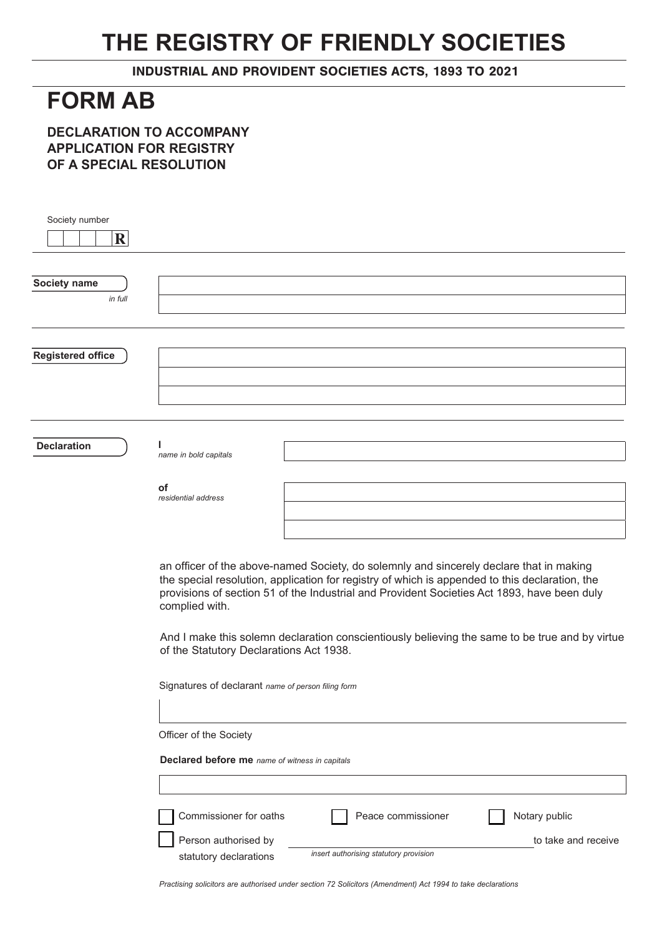## **THE REGISTRY OF FRIENDLY SOCIETIES**

INDUSTRIAL AND PROVIDENT SOCIETIES ACTS, 1893 TO 2021

## **FORM AB**

**DECLARATION TO ACCOMPANY APPLICATION FOR REGISTRY OF A SPECIAL RESOLUTION**

| Society number<br>$\mathbf{R}$ |                                                                                                                                                                                                                                                                                                            |  |  |
|--------------------------------|------------------------------------------------------------------------------------------------------------------------------------------------------------------------------------------------------------------------------------------------------------------------------------------------------------|--|--|
| Society name<br>in full        |                                                                                                                                                                                                                                                                                                            |  |  |
| <b>Registered office</b>       |                                                                                                                                                                                                                                                                                                            |  |  |
| <b>Declaration</b>             | name in bold capitals                                                                                                                                                                                                                                                                                      |  |  |
|                                | οf<br>residential address                                                                                                                                                                                                                                                                                  |  |  |
|                                | an officer of the above-named Society, do solemnly and sincerely declare that in making<br>the special resolution, application for registry of which is appended to this declaration, the<br>provisions of section 51 of the Industrial and Provident Societies Act 1893, have been duly<br>complied with. |  |  |
|                                | And I make this solemn declaration conscientiously believing the same to be true and by virtue<br>of the Statutory Declarations Act 1938.                                                                                                                                                                  |  |  |
|                                | Signatures of declarant name of person filing form                                                                                                                                                                                                                                                         |  |  |
|                                | Officer of the Society                                                                                                                                                                                                                                                                                     |  |  |
|                                | Declared before me name of witness in capitals                                                                                                                                                                                                                                                             |  |  |
|                                | Commissioner for oaths<br>Notary public<br>Peace commissioner<br>Person authorised by<br>to take and receive                                                                                                                                                                                               |  |  |
|                                | insert authorising statutory provision<br>statutory declarations                                                                                                                                                                                                                                           |  |  |

*Practising solicitors are authorised under section 72 Solicitors (Amendment) Act 1994 to take declarations*